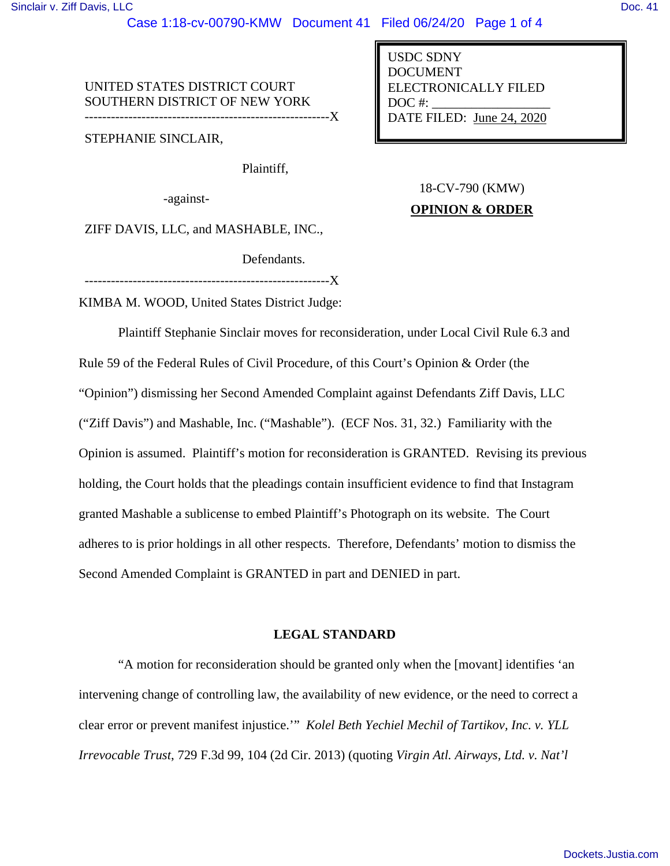Case 1:18-cv-00790-KMW Document 41 Filed 06/24/20 Page 1 of 4

UNITED STATES DISTRICT COURT SOUTHERN DISTRICT OF NEW YORK

--------------------------------------------------------X

STEPHANIE SINCLAIR,

Plaintiff,

-against-

ZIFF DAVIS, LLC, and MASHABLE, INC.,

Defendants.

--------------------------------------------------------X

KIMBA M. WOOD, United States District Judge:

Plaintiff Stephanie Sinclair moves for reconsideration, under Local Civil Rule 6.3 and Rule 59 of the Federal Rules of Civil Procedure, of this Court's Opinion & Order (the "Opinion") dismissing her Second Amended Complaint against Defendants Ziff Davis, LLC ("Ziff Davis") and Mashable, Inc. ("Mashable"). (ECF Nos. 31, 32.) Familiarity with the Opinion is assumed. Plaintiff's motion for reconsideration is GRANTED. Revising its previous holding, the Court holds that the pleadings contain insufficient evidence to find that Instagram granted Mashable a sublicense to embed Plaintiff's Photograph on its website. The Court adheres to is prior holdings in all other respects. Therefore, Defendants' motion to dismiss the Second Amended Complaint is GRANTED in part and DENIED in part.

# **LEGAL STANDARD**

"A motion for reconsideration should be granted only when the [movant] identifies 'an intervening change of controlling law, the availability of new evidence, or the need to correct a clear error or prevent manifest injustice.'" *Kolel Beth Yechiel Mechil of Tartikov, Inc. v. YLL Irrevocable Trust*, 729 F.3d 99, 104 (2d Cir. 2013) (quoting *Virgin Atl. Airways, Ltd. v. Nat'l* 

USDC SDNY DOCUMENT ELECTRONICALLY FILED  $DOC$  #: DATE FILED: June 24, 2020

18-CV-790 (KMW)

# **OPINION & ORDER**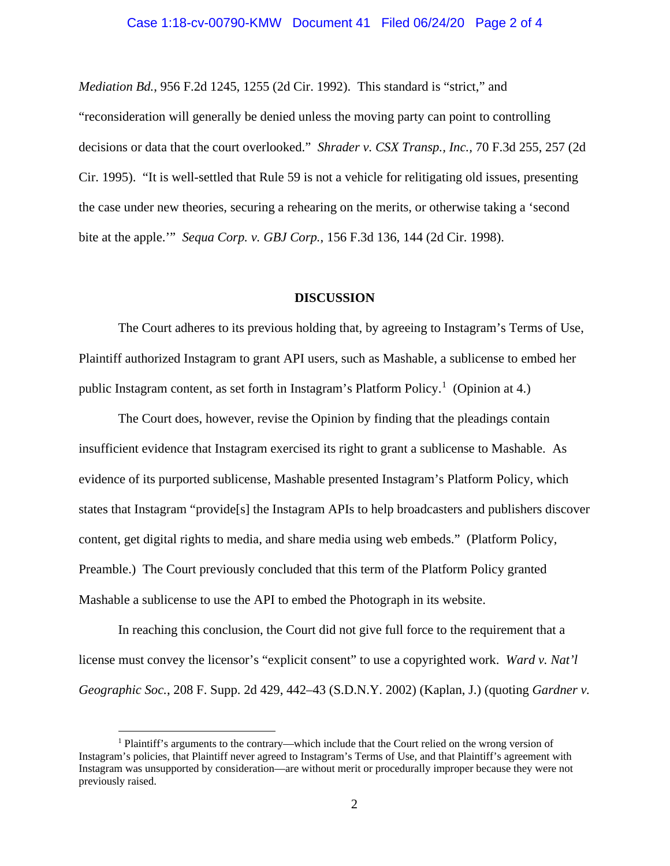## Case 1:18-cv-00790-KMW Document 41 Filed 06/24/20 Page 2 of 4

*Mediation Bd.*, 956 F.2d 1245, 1255 (2d Cir. 1992). This standard is "strict," and "reconsideration will generally be denied unless the moving party can point to controlling decisions or data that the court overlooked." *Shrader v. CSX Transp., Inc.,* 70 F.3d 255, 257 (2d Cir. 1995). "It is well-settled that Rule 59 is not a vehicle for relitigating old issues, presenting the case under new theories, securing a rehearing on the merits, or otherwise taking a 'second bite at the apple.'" *Sequa Corp. v. GBJ Corp.*, 156 F.3d 136, 144 (2d Cir. 1998).

#### **DISCUSSION**

The Court adheres to its previous holding that, by agreeing to Instagram's Terms of Use, Plaintiff authorized Instagram to grant API users, such as Mashable, a sublicense to embed her public Instagram content, as set forth in Instagram's Platform Policy.<sup>[1](#page-1-0)</sup> (Opinion at 4.)

The Court does, however, revise the Opinion by finding that the pleadings contain insufficient evidence that Instagram exercised its right to grant a sublicense to Mashable. As evidence of its purported sublicense, Mashable presented Instagram's Platform Policy, which states that Instagram "provide[s] the Instagram APIs to help broadcasters and publishers discover content, get digital rights to media, and share media using web embeds." (Platform Policy, Preamble.) The Court previously concluded that this term of the Platform Policy granted Mashable a sublicense to use the API to embed the Photograph in its website.

In reaching this conclusion, the Court did not give full force to the requirement that a license must convey the licensor's "explicit consent" to use a copyrighted work. *Ward v. Nat'l Geographic Soc.*, 208 F. Supp. 2d 429, 442–43 (S.D.N.Y. 2002) (Kaplan, J.) (quoting *Gardner v.* 

<span id="page-1-0"></span><sup>1</sup> Plaintiff's arguments to the contrary—which include that the Court relied on the wrong version of Instagram's policies, that Plaintiff never agreed to Instagram's Terms of Use, and that Plaintiff's agreement with Instagram was unsupported by consideration—are without merit or procedurally improper because they were not previously raised.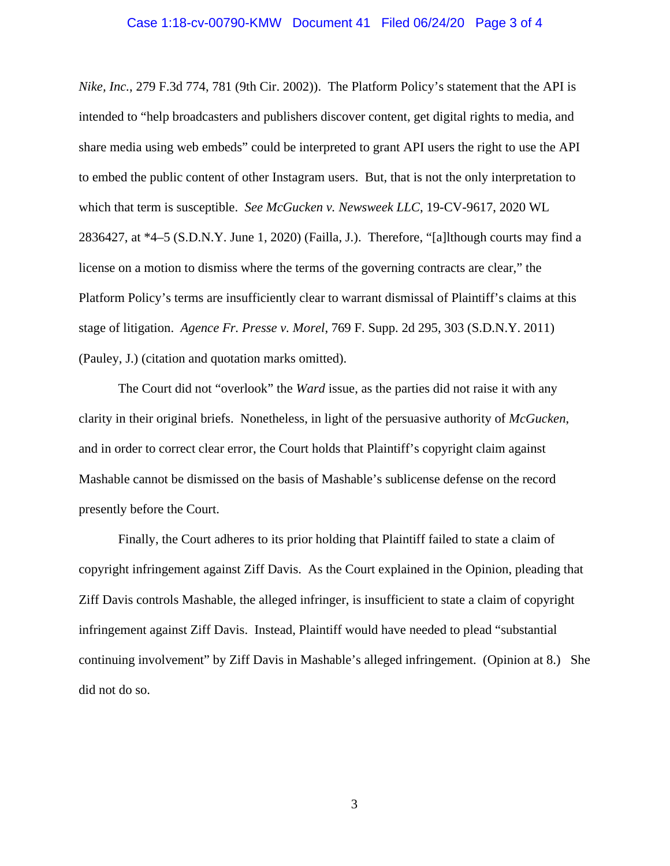## Case 1:18-cv-00790-KMW Document 41 Filed 06/24/20 Page 3 of 4

*Nike, Inc.*, 279 F.3d 774, 781 (9th Cir. 2002)). The Platform Policy's statement that the API is intended to "help broadcasters and publishers discover content, get digital rights to media, and share media using web embeds" could be interpreted to grant API users the right to use the API to embed the public content of other Instagram users. But, that is not the only interpretation to which that term is susceptible. *See McGucken v. Newsweek LLC*, 19-CV-9617, 2020 WL 2836427, at \*4–5 (S.D.N.Y. June 1, 2020) (Failla, J.). Therefore, "[a]lthough courts may find a license on a motion to dismiss where the terms of the governing contracts are clear," the Platform Policy's terms are insufficiently clear to warrant dismissal of Plaintiff's claims at this stage of litigation. *Agence Fr. Presse v. Morel*, 769 F. Supp. 2d 295, 303 (S.D.N.Y. 2011) (Pauley, J.) (citation and quotation marks omitted).

The Court did not "overlook" the *Ward* issue, as the parties did not raise it with any clarity in their original briefs. Nonetheless, in light of the persuasive authority of *McGucken*, and in order to correct clear error, the Court holds that Plaintiff's copyright claim against Mashable cannot be dismissed on the basis of Mashable's sublicense defense on the record presently before the Court.

Finally, the Court adheres to its prior holding that Plaintiff failed to state a claim of copyright infringement against Ziff Davis. As the Court explained in the Opinion, pleading that Ziff Davis controls Mashable, the alleged infringer, is insufficient to state a claim of copyright infringement against Ziff Davis. Instead, Plaintiff would have needed to plead "substantial continuing involvement" by Ziff Davis in Mashable's alleged infringement. (Opinion at 8.) She did not do so.

3